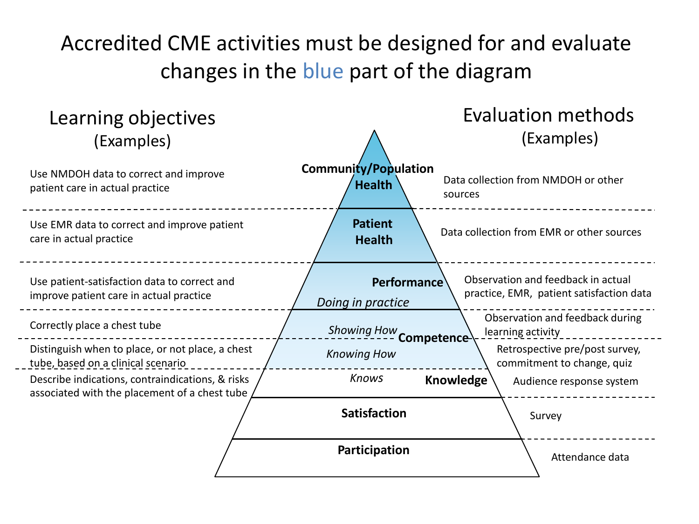## Accredited CME activities must be designed for and evaluate changes in the blue part of the diagram